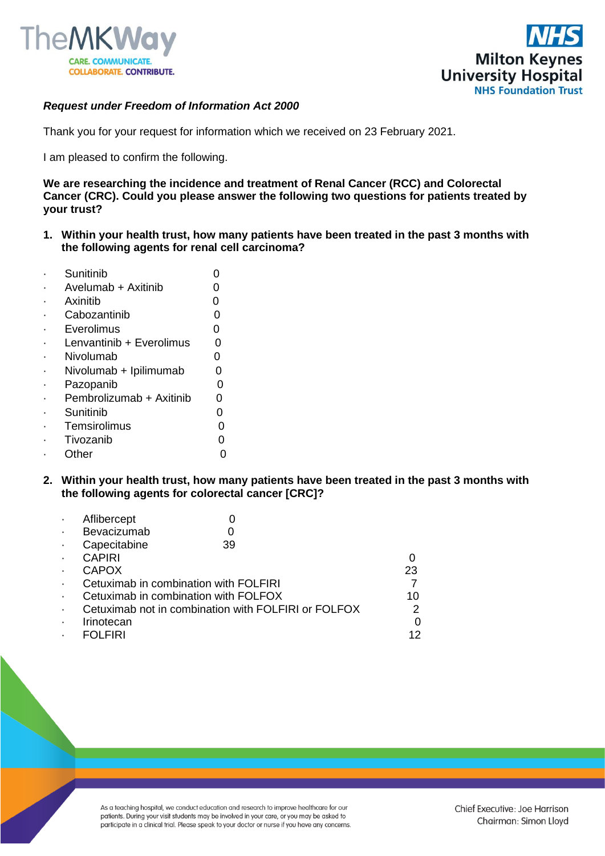



## *Request under Freedom of Information Act 2000*

Thank you for your request for information which we received on 23 February 2021.

I am pleased to confirm the following.

**We are researching the incidence and treatment of Renal Cancer (RCC) and Colorectal Cancer (CRC). Could you please answer the following two questions for patients treated by your trust?**

**1. Within your health trust, how many patients have been treated in the past 3 months with the following agents for renal cell carcinoma?**

| Sunitinib                |   |
|--------------------------|---|
| Avelumab + Axitinib      |   |
| Axinitib                 | ი |
| Cabozantinib             | O |
| Everolimus               | O |
| Lenvantinib + Everolimus | ი |
| Nivolumab                | n |
| Nivolumab + Ipilimumab   | ი |
| Pazopanib                | 0 |
| Pembrolizumab + Axitinib | ი |
| Sunitinib                | ი |
| Temsirolimus             |   |
| Tivozanib                |   |
| Other                    |   |
|                          |   |

**2. Within your health trust, how many patients have been treated in the past 3 months with the following agents for colorectal cancer [CRC]?**

|   | Aflibercept                                         |                                       |    |
|---|-----------------------------------------------------|---------------------------------------|----|
| ٠ | Bevacizumab                                         |                                       |    |
|   | Capecitabine                                        | 39                                    |    |
|   | <b>CAPIRI</b>                                       |                                       |    |
|   | <b>CAPOX</b>                                        |                                       | 23 |
|   |                                                     | Cetuximab in combination with FOLFIRI |    |
|   |                                                     | Cetuximab in combination with FOLFOX  | 10 |
| ٠ | Cetuximab not in combination with FOLFIRI or FOLFOX |                                       |    |
|   | Irinotecan                                          |                                       |    |
|   | <b>FOI FIRI</b>                                     |                                       | 12 |

As a teaching hospital, we conduct education and research to improve healthcare for our patients. During your visit students may be involved in your care, or you may be asked to participate in a clinical trial. Please speak to your doctor or nurse if you have any concerns.